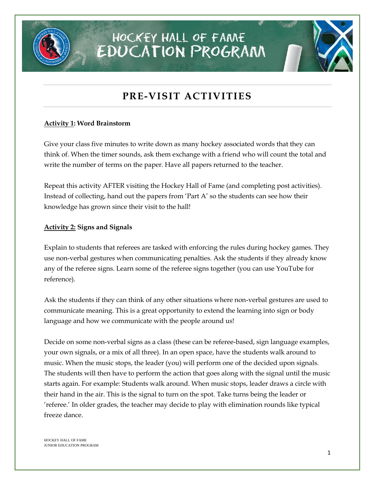

## HOCKEY HALL OF FAME **EDUCATION PROGRAM**

### **PRE-VISIT ACTIVITIES**

#### **Activity 1: Word Brainstorm**

Give your class five minutes to write down as many hockey associated words that they can think of. When the timer sounds, ask them exchange with a friend who will count the total and write the number of terms on the paper. Have all papers returned to the teacher.

Repeat this activity AFTER visiting the Hockey Hall of Fame (and completing post activities). Instead of collecting, hand out the papers from 'Part A' so the students can see how their knowledge has grown since their visit to the hall!

#### **Activity 2: Signs and Signals**

Explain to students that referees are tasked with enforcing the rules during hockey games. They use non-verbal gestures when communicating penalties. Ask the students if they already know any of the referee signs. Learn some of the referee signs together (you can use YouTube for reference).

Ask the students if they can think of any other situations where non-verbal gestures are used to communicate meaning. This is a great opportunity to extend the learning into sign or body language and how we communicate with the people around us!

Decide on some non-verbal signs as a class (these can be referee-based, sign language examples, your own signals, or a mix of all three). In an open space, have the students walk around to music. When the music stops, the leader (you) will perform one of the decided upon signals. The students will then have to perform the action that goes along with the signal until the music starts again. For example: Students walk around. When music stops, leader draws a circle with their hand in the air. This is the signal to turn on the spot. Take turns being the leader or 'referee.' In older grades, the teacher may decide to play with elimination rounds like typical freeze dance.

HOCKEY HALL OF FAME JUNIOR EDUCATION PROGRAM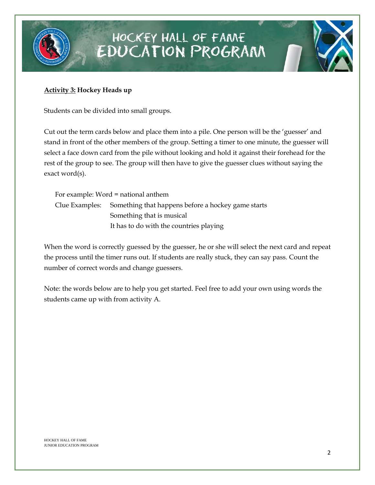

## HOCKEY HALL OF FAME **EDUCATION PROGRAM**

#### **Activity 3: Hockey Heads up**

Students can be divided into small groups.

Cut out the term cards below and place them into a pile. One person will be the 'guesser' and stand in front of the other members of the group. Setting a timer to one minute, the guesser will select a face down card from the pile without looking and hold it against their forehead for the rest of the group to see. The group will then have to give the guesser clues without saying the exact word(s).

| For example: Word = national anthem                               |
|-------------------------------------------------------------------|
| Clue Examples: Something that happens before a hockey game starts |
| Something that is musical                                         |
| It has to do with the countries playing                           |

When the word is correctly guessed by the guesser, he or she will select the next card and repeat the process until the timer runs out. If students are really stuck, they can say pass. Count the number of correct words and change guessers.

Note: the words below are to help you get started. Feel free to add your own using words the students came up with from activity A.